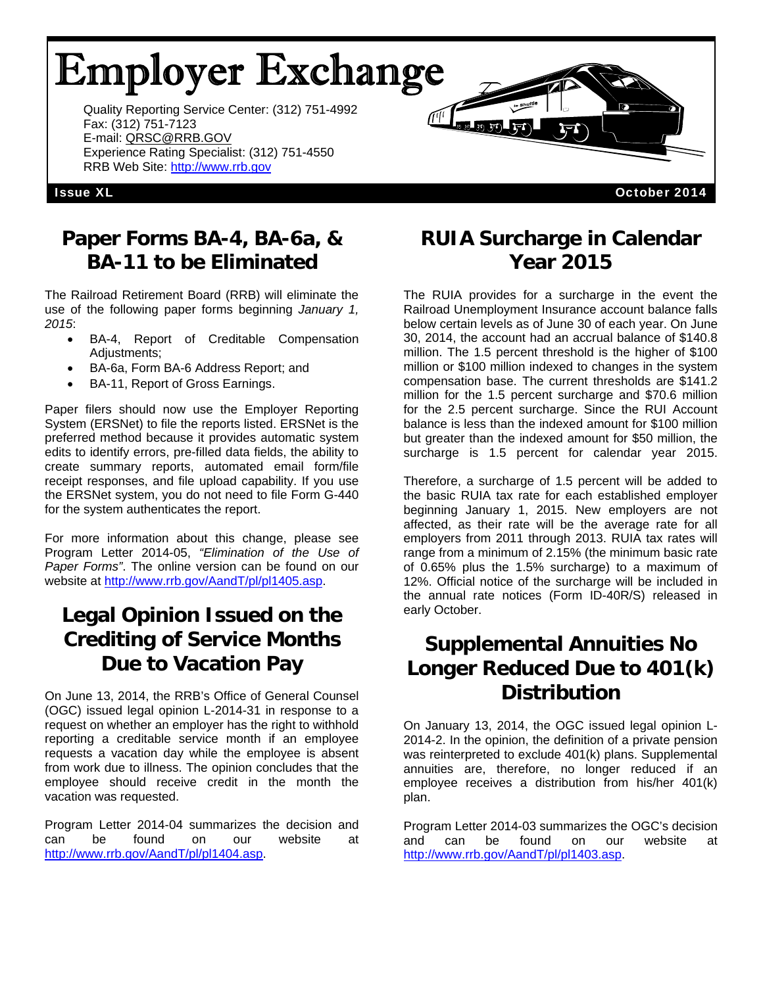# Employer Exchange

Quality Reporting Service Center: (312) 751-4992 Fax: (312) 751-7123 E-mail: QRSC@RRB.GOV Experience Rating Specialist: (312) 751-4550 RRB Web Site: http://www.rrb.gov

#### Issue XL October 2014

#### **Paper Forms BA-4, BA-6a, & BA-11 to be Eliminated**

The Railroad Retirement Board (RRB) will eliminate the use of the following paper forms beginning *January 1, 2015*:

- BA-4, Report of Creditable Compensation Adjustments;
- BA-6a, Form BA-6 Address Report; and
- BA-11, Report of Gross Earnings.

Paper filers should now use the Employer Reporting System (ERSNet) to file the reports listed. ERSNet is the preferred method because it provides automatic system edits to identify errors, pre-filled data fields, the ability to create summary reports, automated email form/file receipt responses, and file upload capability. If you use the ERSNet system, you do not need to file Form G-440 for the system authenticates the report.

For more information about this change, please see Program Letter 2014-05, *"Elimination of the Use of Paper Forms"*. The online version can be found on our website at http://www.rrb.gov/AandT/pl/pl1405.asp.

## **Legal Opinion Issued on the Crediting of Service Months Due to Vacation Pay**

On June 13, 2014, the RRB's Office of General Counsel (OGC) issued legal opinion L-2014-31 in response to a request on whether an employer has the right to withhold reporting a creditable service month if an employee requests a vacation day while the employee is absent from work due to illness. The opinion concludes that the employee should receive credit in the month the vacation was requested.

Program Letter 2014-04 summarizes the decision and can be found on our website at http://www.rrb.gov/AandT/pl/pl1404.asp.

### **RUIA Surcharge in Calendar Year 2015**

क्ट्र ∎ (म्यू (सु <sup>n</sup>

The RUIA provides for a surcharge in the event the Railroad Unemployment Insurance account balance falls below certain levels as of June 30 of each year. On June 30, 2014, the account had an accrual balance of \$140.8 million. The 1.5 percent threshold is the higher of \$100 million or \$100 million indexed to changes in the system compensation base. The current thresholds are \$141.2 million for the 1.5 percent surcharge and \$70.6 million for the 2.5 percent surcharge. Since the RUI Account balance is less than the indexed amount for \$100 million but greater than the indexed amount for \$50 million, the surcharge is 1.5 percent for calendar year 2015.

Therefore, a surcharge of 1.5 percent will be added to the basic RUIA tax rate for each established employer beginning January 1, 2015. New employers are not affected, as their rate will be the average rate for all employers from 2011 through 2013. RUIA tax rates will range from a minimum of 2.15% (the minimum basic rate of 0.65% plus the 1.5% surcharge) to a maximum of 12%. Official notice of the surcharge will be included in the annual rate notices (Form ID-40R/S) released in early October.

### **Supplemental Annuities No Longer Reduced Due to 401(k) Distribution**

On January 13, 2014, the OGC issued legal opinion L-2014-2. In the opinion, the definition of a private pension was reinterpreted to exclude 401(k) plans. Supplemental annuities are, therefore, no longer reduced if an employee receives a distribution from his/her 401(k) plan.

Program Letter 2014-03 summarizes the OGC's decision and can be found on our website at http://www.rrb.gov/AandT/pl/pl1403.asp.